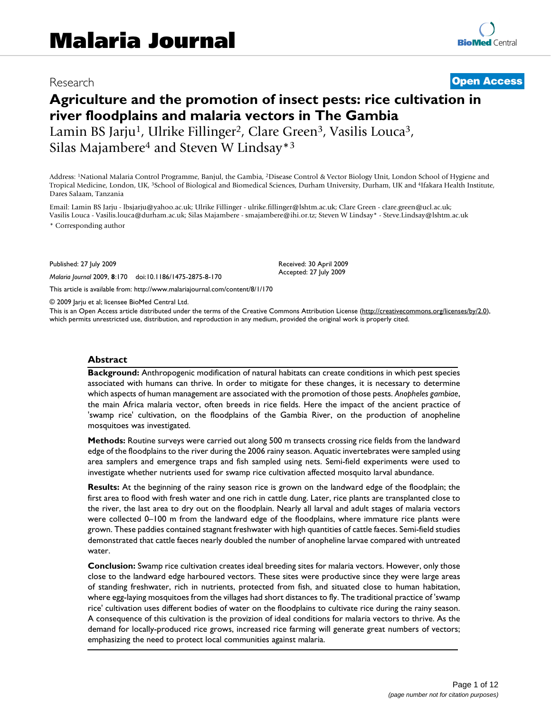### Research **[Open Access](http://www.biomedcentral.com/info/about/charter/)**

# **Agriculture and the promotion of insect pests: rice cultivation in river floodplains and malaria vectors in The Gambia** Lamin BS Jarju<sup>1</sup>, Ulrike Fillinger<sup>2</sup>, Clare Green<sup>3</sup>, Vasilis Louca<sup>3</sup>,

Silas Majambere4 and Steven W Lindsay\*3

Address: 1National Malaria Control Programme, Banjul, the Gambia, 2Disease Control & Vector Biology Unit, London School of Hygiene and Tropical Medicine, London, UK, 3School of Biological and Biomedical Sciences, Durham University, Durham, UK and 4Ifakara Health Institute, Dares Salaam, Tanzania

Email: Lamin BS Jarju - lbsjarju@yahoo.ac.uk; Ulrike Fillinger - ulrike.fillinger@lshtm.ac.uk; Clare Green - clare.green@ucl.ac.uk; Vasilis Louca - Vasilis.louca@durham.ac.uk; Silas Majambere - smajambere@ihi.or.tz; Steven W Lindsay\* - Steve.Lindsay@lshtm.ac.uk \* Corresponding author

Published: 27 July 2009

*Malaria Journal* 2009, **8**:170 doi:10.1186/1475-2875-8-170

[This article is available from: http://www.malariajournal.com/content/8/1/170](http://www.malariajournal.com/content/8/1/170)

© 2009 Jarju et al; licensee BioMed Central Ltd.

This is an Open Access article distributed under the terms of the Creative Commons Attribution License [\(http://creativecommons.org/licenses/by/2.0\)](http://creativecommons.org/licenses/by/2.0), which permits unrestricted use, distribution, and reproduction in any medium, provided the original work is properly cited.

Received: 30 April 2009 Accepted: 27 July 2009

#### **Abstract**

**Background:** Anthropogenic modification of natural habitats can create conditions in which pest species associated with humans can thrive. In order to mitigate for these changes, it is necessary to determine which aspects of human management are associated with the promotion of those pests. *Anopheles gambiae*, the main Africa malaria vector, often breeds in rice fields. Here the impact of the ancient practice of 'swamp rice' cultivation, on the floodplains of the Gambia River, on the production of anopheline mosquitoes was investigated.

**Methods:** Routine surveys were carried out along 500 m transects crossing rice fields from the landward edge of the floodplains to the river during the 2006 rainy season. Aquatic invertebrates were sampled using area samplers and emergence traps and fish sampled using nets. Semi-field experiments were used to investigate whether nutrients used for swamp rice cultivation affected mosquito larval abundance.

**Results:** At the beginning of the rainy season rice is grown on the landward edge of the floodplain; the first area to flood with fresh water and one rich in cattle dung. Later, rice plants are transplanted close to the river, the last area to dry out on the floodplain. Nearly all larval and adult stages of malaria vectors were collected 0–100 m from the landward edge of the floodplains, where immature rice plants were grown. These paddies contained stagnant freshwater with high quantities of cattle faeces. Semi-field studies demonstrated that cattle faeces nearly doubled the number of anopheline larvae compared with untreated water.

**Conclusion:** Swamp rice cultivation creates ideal breeding sites for malaria vectors. However, only those close to the landward edge harboured vectors. These sites were productive since they were large areas of standing freshwater, rich in nutrients, protected from fish, and situated close to human habitation, where egg-laying mosquitoes from the villages had short distances to fly. The traditional practice of 'swamp rice' cultivation uses different bodies of water on the floodplains to cultivate rice during the rainy season. A consequence of this cultivation is the provizion of ideal conditions for malaria vectors to thrive. As the demand for locally-produced rice grows, increased rice farming will generate great numbers of vectors; emphasizing the need to protect local communities against malaria.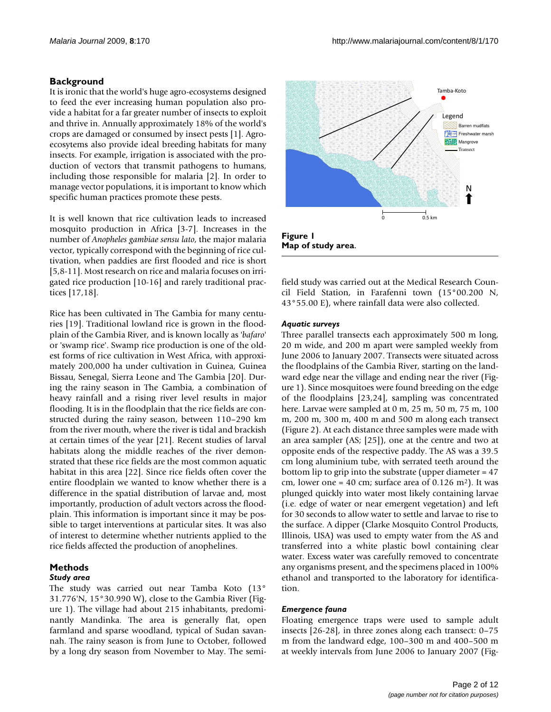#### **Background**

It is ironic that the world's huge agro-ecosystems designed to feed the ever increasing human population also provide a habitat for a far greater number of insects to exploit and thrive in. Annually approximately 18% of the world's crops are damaged or consumed by insect pests [1]. Agroecosytems also provide ideal breeding habitats for many insects. For example, irrigation is associated with the production of vectors that transmit pathogens to humans, including those responsible for malaria [2]. In order to manage vector populations, it is important to know which specific human practices promote these pests.

It is well known that rice cultivation leads to increased mosquito production in Africa [3-7]. Increases in the number of *Anopheles gambiae sensu lato*, the major malaria vector, typically correspond with the beginning of rice cultivation, when paddies are first flooded and rice is short [5,8-11]. Most research on rice and malaria focuses on irrigated rice production [[10](#page-10-0)-16] and rarely traditional practices [17,18].

Rice has been cultivated in The Gambia for many centuries [19]. Traditional lowland rice is grown in the floodplain of the Gambia River, and is known locally as '*bafaro*' or 'swamp rice'. Swamp rice production is one of the oldest forms of rice cultivation in West Africa, with approximately 200,000 ha under cultivation in Guinea, Guinea Bissau, Senegal, Sierra Leone and The Gambia [20]. During the rainy season in The Gambia, a combination of heavy rainfall and a rising river level results in major flooding. It is in the floodplain that the rice fields are constructed during the rainy season, between 110–290 km from the river mouth, where the river is tidal and brackish at certain times of the year [21]. Recent studies of larval habitats along the middle reaches of the river demonstrated that these rice fields are the most common aquatic habitat in this area [22]. Since rice fields often cover the entire floodplain we wanted to know whether there is a difference in the spatial distribution of larvae and, most importantly, production of adult vectors across the floodplain. This information is important since it may be possible to target interventions at particular sites. It was also of interest to determine whether nutrients applied to the rice fields affected the production of anophelines.

## **Methods**

#### *Study area*

The study was carried out near Tamba Koto (13° 31.776'N, 15°30.990 W), close to the Gambia River (Figure 1). The village had about 215 inhabitants, predominantly Mandinka. The area is generally flat, open farmland and sparse woodland, typical of Sudan savannah. The rainy season is from June to October, followed by a long dry season from November to May. The semi-



field study was carried out at the Medical Research Council Field Station, in Farafenni town (15°00.200 N, 43°55.00 E), where rainfall data were also collected.

#### *Aquatic surveys*

Three parallel transects each approximately 500 m long, 20 m wide, and 200 m apart were sampled weekly from June 2006 to January 2007. Transects were situated across the floodplains of the Gambia River, starting on the landward edge near the village and ending near the river (Figure 1). Since mosquitoes were found breeding on the edge of the floodplains [23,24], sampling was concentrated here. Larvae were sampled at 0 m, 25 m, 50 m, 75 m, 100 m, 200 m, 300 m, 400 m and 500 m along each transect (Figure 2). At each distance three samples were made with an area sampler (AS; [25]), one at the centre and two at opposite ends of the respective paddy. The AS was a 39.5 cm long aluminium tube, with serrated teeth around the bottom lip to grip into the substrate (upper diameter = 47 cm, lower one = 40 cm; surface area of  $0.126$  m<sup>2</sup>). It was plunged quickly into water most likely containing larvae (i.e. edge of water or near emergent vegetation) and left for 30 seconds to allow water to settle and larvae to rise to the surface. A dipper (Clarke Mosquito Control Products, Illinois, USA) was used to empty water from the AS and transferred into a white plastic bowl containing clear water. Excess water was carefully removed to concentrate any organisms present, and the specimens placed in 100% ethanol and transported to the laboratory for identification.

#### *Emergence fauna*

Floating emergence traps were used to sample adult insects [26-28], in three zones along each transect: 0–75 m from the landward edge, 100–300 m and 400–500 m at weekly intervals from June 2006 to January 2007 (Fig-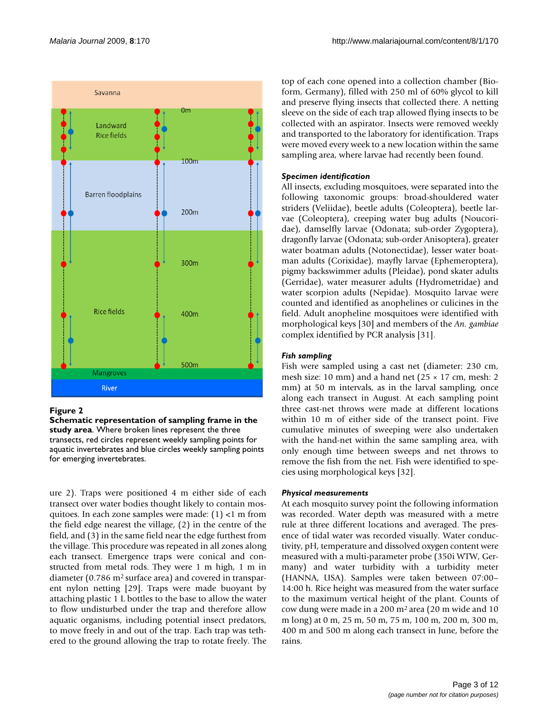

#### Figure 2

**Schematic representation of sampling frame in the study area**. Where broken lines represent the three transects, red circles represent weekly sampling points for aquatic invertebrates and blue circles weekly sampling points for emerging invertebrates.

ure 2). Traps were positioned 4 m either side of each transect over water bodies thought likely to contain mosquitoes. In each zone samples were made: (1) <1 m from the field edge nearest the village, (2) in the centre of the field, and (3) in the same field near the edge furthest from the village. This procedure was repeated in all zones along each transect. Emergence traps were conical and constructed from metal rods. They were 1 m high, 1 m in diameter (0.786 m<sup>2</sup> surface area) and covered in transparent nylon netting [29]. Traps were made buoyant by attaching plastic 1 L bottles to the base to allow the water to flow undisturbed under the trap and therefore allow aquatic organisms, including potential insect predators, to move freely in and out of the trap. Each trap was tethered to the ground allowing the trap to rotate freely. The top of each cone opened into a collection chamber (Bioform, Germany), filled with 250 ml of 60% glycol to kill and preserve flying insects that collected there. A netting sleeve on the side of each trap allowed flying insects to be collected with an aspirator. Insects were removed weekly and transported to the laboratory for identification. Traps were moved every week to a new location within the same sampling area, where larvae had recently been found.

### *Specimen identification*

All insects, excluding mosquitoes, were separated into the following taxonomic groups: broad-shouldered water striders (Veliidae), beetle adults (Coleoptera), beetle larvae (Coleoptera), creeping water bug adults (Noucoridae), damselfly larvae (Odonata; sub-order Zygoptera), dragonfly larvae (Odonata; sub-order Anisoptera), greater water boatman adults (Notonectidae), lesser water boatman adults (Corixidae), mayfly larvae (Ephemeroptera), pigmy backswimmer adults (Pleidae), pond skater adults (Gerridae), water measurer adults (Hydrometridae) and water scorpion adults (Nepidae). Mosquito larvae were counted and identified as anophelines or culicines in the field. Adult anopheline mosquitoes were identified with morphological keys [30] and members of the *An. gambiae* complex identified by PCR analysis [\[31](#page-11-0)].

#### *Fish sampling*

Fish were sampled using a cast net (diameter: 230 cm, mesh size: 10 mm) and a hand net  $(25 \times 17 \text{ cm}, \text{mesh})$ : 2 mm) at 50 m intervals, as in the larval sampling, once along each transect in August. At each sampling point three cast-net throws were made at different locations within 10 m of either side of the transect point. Five cumulative minutes of sweeping were also undertaken with the hand-net within the same sampling area, with only enough time between sweeps and net throws to remove the fish from the net. Fish were identified to species using morphological keys [32].

#### *Physical measurements*

At each mosquito survey point the following information was recorded. Water depth was measured with a metre rule at three different locations and averaged. The presence of tidal water was recorded visually. Water conductivity, pH, temperature and dissolved oxygen content were measured with a multi-parameter probe (350i WTW, Germany) and water turbidity with a turbidity meter (HANNA, USA). Samples were taken between 07:00– 14:00 h. Rice height was measured from the water surface to the maximum vertical height of the plant. Counts of cow dung were made in a 200 m2 area (20 m wide and 10 m long) at 0 m, 25 m, 50 m, 75 m, 100 m, 200 m, 300 m, 400 m and 500 m along each transect in June, before the rains.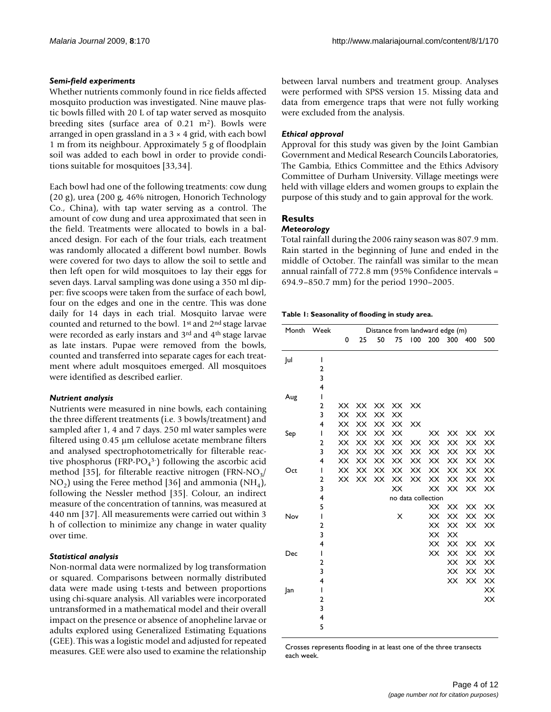#### *Semi-field experiments*

Whether nutrients commonly found in rice fields affected mosquito production was investigated. Nine mauve plastic bowls filled with 20 L of tap water served as mosquito breeding sites (surface area of 0.21 m2). Bowls were arranged in open grassland in a  $3 \times 4$  grid, with each bowl 1 m from its neighbour. Approximately 5 g of floodplain soil was added to each bowl in order to provide conditions suitable for mosquitoes [33,34].

Each bowl had one of the following treatments: cow dung (20 g), urea (200 g, 46% nitrogen, Honorich Technology Co., China), with tap water serving as a control. The amount of cow dung and urea approximated that seen in the field. Treatments were allocated to bowls in a balanced design. For each of the four trials, each treatment was randomly allocated a different bowl number. Bowls were covered for two days to allow the soil to settle and then left open for wild mosquitoes to lay their eggs for seven days. Larval sampling was done using a 350 ml dipper: five scoops were taken from the surface of each bowl, four on the edges and one in the centre. This was done daily for 14 days in each trial. Mosquito larvae were counted and returned to the bowl. 1st and 2nd stage larvae were recorded as early instars and 3rd and 4th stage larvae as late instars. Pupae were removed from the bowls, counted and transferred into separate cages for each treatment where adult mosquitoes emerged. All mosquitoes were identified as described earlier.

#### *Nutrient analysis*

Nutrients were measured in nine bowls, each containing the three different treatments (i.e. 3 bowls/treatment) and sampled after 1, 4 and 7 days. 250 ml water samples were filtered using 0.45 μm cellulose acetate membrane filters and analysed spectrophotometrically for filterable reactive phosphorus (FRP-PO<sub>4</sub><sup>3-</sup>) following the ascorbic acid method [35], for filterable reactive nitrogen (FRN-NO<sub>3</sub>/  $NO<sub>2</sub>$ ) using the Feree method [36] and ammonia (NH<sub>4</sub>), following the Nessler method [35]. Colour, an indirect measure of the concentration of tannins, was measured at 440 nm [37]. All measurements were carried out within 3 h of collection to minimize any change in water quality over time.

#### *Statistical analysis*

Non-normal data were normalized by log transformation or squared. Comparisons between normally distributed data were made using t-tests and between proportions using chi-square analysis. All variables were incorporated untransformed in a mathematical model and their overall impact on the presence or absence of anopheline larvae or adults explored using Generalized Estimating Equations (GEE). This was a logistic model and adjusted for repeated measures. GEE were also used to examine the relationship between larval numbers and treatment group. Analyses were performed with SPSS version 15. Missing data and data from emergence traps that were not fully working were excluded from the analysis.

#### *Ethical approval*

Approval for this study was given by the Joint Gambian Government and Medical Research Councils Laboratories, The Gambia, Ethics Committee and the Ethics Advisory Committee of Durham University. Village meetings were held with village elders and women groups to explain the purpose of this study and to gain approval for the work.

#### **Results**

#### *Meteorology*

Total rainfall during the 2006 rainy season was 807.9 mm. Rain started in the beginning of June and ended in the middle of October. The rainfall was similar to the mean annual rainfall of 772.8 mm (95% Confidence intervals = 694.9–850.7 mm) for the period 1990–2005.

|  |  | Table 1: Seasonality of flooding in study area. |  |  |  |  |  |
|--|--|-------------------------------------------------|--|--|--|--|--|
|--|--|-------------------------------------------------|--|--|--|--|--|

| Month | Week           |    |    |    |    |     | Distance from landward edge (m) |     |     |     |
|-------|----------------|----|----|----|----|-----|---------------------------------|-----|-----|-----|
|       |                | 0  | 25 | 50 | 75 | 100 | 200                             | 300 | 400 | 500 |
| Jul   | ı              |    |    |    |    |     |                                 |     |     |     |
|       | 2              |    |    |    |    |     |                                 |     |     |     |
|       | 3              |    |    |    |    |     |                                 |     |     |     |
|       | 4              |    |    |    |    |     |                                 |     |     |     |
| Aug   | I              |    |    |    |    |     |                                 |     |     |     |
|       | $\overline{a}$ | ХX | XX | XX | XX | XX  |                                 |     |     |     |
|       | 3              | ХX | XX | XX | XX |     |                                 |     |     |     |
|       | 4              | XX | XX | XX | XX | XX  |                                 |     |     |     |
| Sep   | I              | XX | XX | XX | XX |     | XХ                              | XX  | XX  | ХX  |
|       | $\overline{a}$ | XX | XX | XX | XX | XX  | XX                              | XX  | XX  | XX  |
|       | 3              | XX | XX | XX | XX | XX  | XX                              | XX  | XX  | XX  |
|       | 4              | XX | XX | XX | XX | XX  | XX                              | XX  | XX  | XX  |
| Oct   | I              | XX | XX | XX | XX | XX  | XX                              | XX  | XX  | XX  |
|       | $\overline{a}$ | XX | XX | XX | XX | XX  | XX                              | XX  | XX  | XX  |
|       | 3              |    |    |    | XX |     | XX                              | XX  | XX  | XX  |
|       | 4              |    |    |    |    |     | no data collection              |     |     |     |
|       | 5              |    |    |    |    |     | XX                              | XX  | XX  | XX  |
| Nov   | I              |    |    |    | X  |     | XX                              | XX  | XX  | XX  |
|       | $\overline{a}$ |    |    |    |    |     | XX                              | XX  | XX  | XX  |
|       | 3              |    |    |    |    |     | XX                              | XX  |     |     |
|       | 4              |    |    |    |    |     | XX                              | XX  | ХX  | ХX  |
| Dec   | I              |    |    |    |    |     | XX                              | XX  | XX  | XX  |
|       | 2              |    |    |    |    |     |                                 | XX  | XX  | XX  |
|       | 3              |    |    |    |    |     |                                 | XX  | XX  | XX  |
|       | 4              |    |    |    |    |     |                                 | XX  | XX  | XX  |
| an    | I              |    |    |    |    |     |                                 |     |     | XX  |
|       | $\overline{a}$ |    |    |    |    |     |                                 |     |     | XX  |
|       | 3              |    |    |    |    |     |                                 |     |     |     |
|       | 4              |    |    |    |    |     |                                 |     |     |     |
|       | 5              |    |    |    |    |     |                                 |     |     |     |

Crosses represents flooding in at least one of the three transects each week.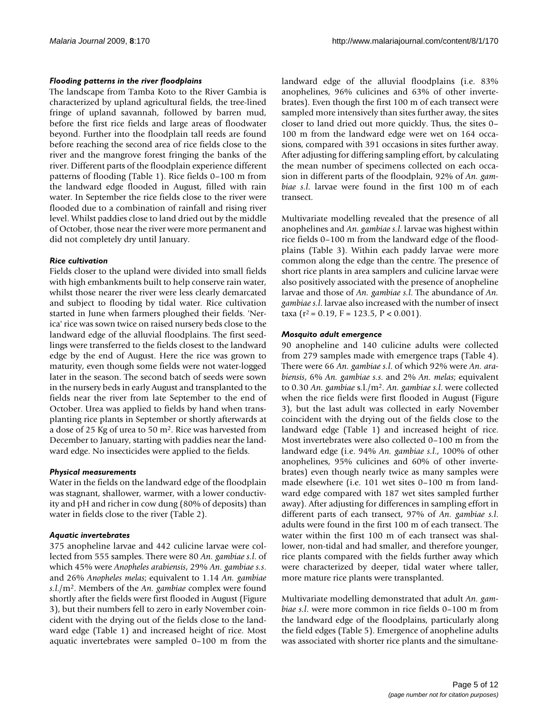#### *Flooding patterns in the river floodplains*

The landscape from Tamba Koto to the River Gambia is characterized by upland agricultural fields, the tree-lined fringe of upland savannah, followed by barren mud, before the first rice fields and large areas of floodwater beyond. Further into the floodplain tall reeds are found before reaching the second area of rice fields close to the river and the mangrove forest fringing the banks of the river. Different parts of the floodplain experience different patterns of flooding (Table 1). Rice fields 0–100 m from the landward edge flooded in August, filled with rain water. In September the rice fields close to the river were flooded due to a combination of rainfall and rising river level. Whilst paddies close to land dried out by the middle of October, those near the river were more permanent and did not completely dry until January.

#### *Rice cultivation*

Fields closer to the upland were divided into small fields with high embankments built to help conserve rain water, whilst those nearer the river were less clearly demarcated and subject to flooding by tidal water. Rice cultivation started in June when farmers ploughed their fields. 'Nerica' rice was sown twice on raised nursery beds close to the landward edge of the alluvial floodplains. The first seedlings were transferred to the fields closest to the landward edge by the end of August. Here the rice was grown to maturity, even though some fields were not water-logged later in the season. The second batch of seeds were sown in the nursery beds in early August and transplanted to the fields near the river from late September to the end of October. Urea was applied to fields by hand when transplanting rice plants in September or shortly afterwards at a dose of 25 Kg of urea to 50 m2. Rice was harvested from December to January, starting with paddies near the landward edge. No insecticides were applied to the fields.

#### *Physical measurements*

Water in the fields on the landward edge of the floodplain was stagnant, shallower, warmer, with a lower conductivity and pH and richer in cow dung (80% of deposits) than water in fields close to the river (Table 2).

#### *Aquatic invertebrates*

375 anopheline larvae and 442 culicine larvae were collected from 555 samples. There were 80 *An. gambiae s.l*. of which 45% were *Anopheles arabiensis*, 29% *An. gambiae s.s*. and 26% *Anopheles melas*; equivalent to 1.14 *An. gambiae s.l*./m2. Members of the *An. gambiae* complex were found shortly after the fields were first flooded in August (Figure 3), but their numbers fell to zero in early November coincident with the drying out of the fields close to the landward edge (Table 1) and increased height of rice. Most aquatic invertebrates were sampled 0–100 m from the landward edge of the alluvial floodplains (i.e. 83% anophelines, 96% culicines and 63% of other invertebrates). Even though the first 100 m of each transect were sampled more intensively than sites further away, the sites closer to land dried out more quickly. Thus, the sites 0– 100 m from the landward edge were wet on 164 occasions, compared with 391 occasions in sites further away. After adjusting for differing sampling effort, by calculating the mean number of specimens collected on each occasion in different parts of the floodplain, 92% of *An. gambiae s.l*. larvae were found in the first 100 m of each transect.

Multivariate modelling revealed that the presence of all anophelines and *An. gambiae s.l*. larvae was highest within rice fields 0–100 m from the landward edge of the floodplains (Table 3). Within each paddy larvae were more common along the edge than the centre. The presence of short rice plants in area samplers and culicine larvae were also positively associated with the presence of anopheline larvae and those of *An. gambiae s.l*. The abundance of *An. gambiae s.l*. larvae also increased with the number of insect taxa ( $r^2$  = 0.19, F = 123.5, P < 0.001).

#### *Mosquito adult emergence*

90 anopheline and 140 culicine adults were collected from 279 samples made with emergence traps (Table 4). There were 66 *An. gambiae s.l*. of which 92% were *An. arabiensis*, 6% *An. gambiae s.s*. and 2% *An. melas*; equivalent to 0.30 *An. gambiae* s.l./m2. *An. gambiae s.l*. were collected when the rice fields were first flooded in August (Figure 3), but the last adult was collected in early November coincident with the drying out of the fields close to the landward edge (Table 1) and increased height of rice. Most invertebrates were also collected 0–100 m from the landward edge (i.e. 94% *An. gambiae s.l*., 100% of other anophelines, 95% culicines and 60% of other invertebrates) even though nearly twice as many samples were made elsewhere (i.e. 101 wet sites 0–100 m from landward edge compared with 187 wet sites sampled further away). After adjusting for differences in sampling effort in different parts of each transect, 97% of *An. gambiae s.l*. adults were found in the first 100 m of each transect. The water within the first 100 m of each transect was shallower, non-tidal and had smaller, and therefore younger, rice plants compared with the fields further away which were characterized by deeper, tidal water where taller, more mature rice plants were transplanted.

Multivariate modelling demonstrated that adult *An. gambiae s.l*. were more common in rice fields 0–100 m from the landward edge of the floodplains, particularly along the field edges (Table 5). Emergence of anopheline adults was associated with shorter rice plants and the simultane-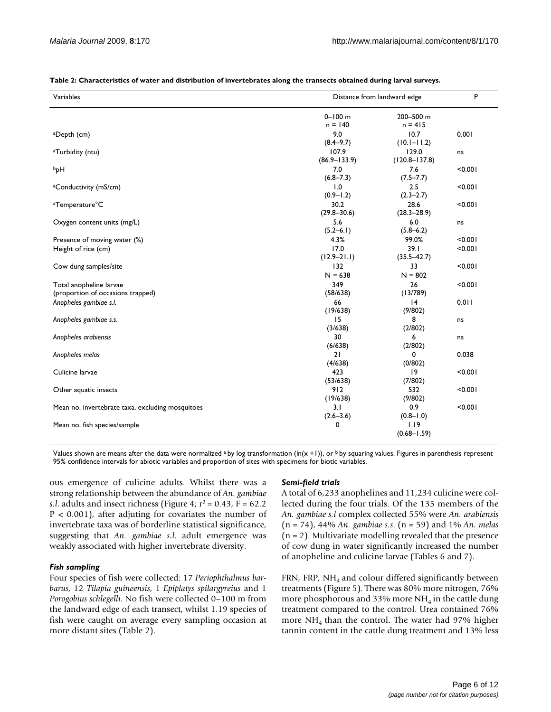| Variables                                                    |                           | Distance from landward edge | P       |
|--------------------------------------------------------------|---------------------------|-----------------------------|---------|
|                                                              | $0 - 100$ m<br>$n = 140$  | 200-500 m<br>$n = 415$      |         |
| <sup>a</sup> Depth (cm)                                      | 9.0<br>$(8.4 - 9.7)$      | 10.7<br>$(10.1 - 11.2)$     | 0.001   |
| <sup>a</sup> Turbidity (ntu)                                 | 107.9<br>$(86.9 - 133.9)$ | 129.0<br>$(120.8 - 137.8)$  | ns      |
| b <sub>pH</sub>                                              | 7.0<br>$(6.8 - 7.3)$      | 7.6<br>$(7.5 - 7.7)$        | < 0.001 |
| <sup>a</sup> Conductivity (mS/cm)                            | 1.0<br>$(0.9 - 1.2)$      | 2.5<br>$(2.3 - 2.7)$        | < 0.001 |
| <sup>a</sup> Temperature <sup>°</sup> C                      | 30.2<br>$(29.8 - 30.6)$   | 28.6<br>$(28.3 - 28.9)$     | < 0.001 |
| Oxygen content units (mg/L)                                  | 5.6<br>$(5.2 - 6.1)$      | 6.0<br>$(5.8 - 6.2)$        | ns      |
| Presence of moving water (%)                                 | 4.3%                      | 99.0%                       | < 0.001 |
| Height of rice (cm)                                          | 17.0<br>$(12.9 - 21.1)$   | 39.1<br>$(35.5 - 42.7)$     | < 0.001 |
| Cow dung samples/site                                        | 132<br>$N = 638$          | 33<br>$N = 802$             | < 0.001 |
| Total anopheline larvae<br>(proportion of occasions trapped) | 349<br>(58/638)           | 26<br>(13/789)              | < 0.001 |
| Anopheles gambiae s.l.                                       | 66<br>(19/638)            | 4<br>(9/802)                | 0.011   |
| Anopheles gambiae s.s.                                       | 15<br>(3/638)             | 8<br>(2/802)                | ns      |
| Anopheles arabiensis                                         | 30<br>(6/638)             | 6<br>(2/802)                | ns      |
| Anopheles melas                                              | 21<br>(4/638)             | 0<br>(0/802)                | 0.038   |
| Culicine larvae                                              | 423<br>(53/638)           | 9<br>(7/802)                | < 0.001 |
| Other aquatic insects                                        | 912<br>(19/638)           | 532<br>(9/802)              | < 0.001 |
| Mean no. invertebrate taxa, excluding mosquitoes             | 3.1<br>$(2.6 - 3.6)$      | 0.9<br>$(0.8 - 1.0)$        | < 0.001 |
| Mean no. fish species/sample                                 | 0                         | 1.19<br>$(0.68 - 1.59)$     |         |

**Table 2: Characteristics of water and distribution of invertebrates along the transects obtained during larval surveys.** 

Values shown are means after the data were normalized <sup>a</sup> by log transformation (ln(x +1)), or  $\frac{b}{b}$  squaring values. Figures in parenthesis represent 95% confidence intervals for abiotic variables and proportion of sites with specimens for biotic variables.

ous emergence of culicine adults. Whilst there was a strong relationship between the abundance of *An. gambiae s.l.* adults and insect richness (Figure 4;  $r^2 = 0.43$ ,  $F = 62.2$  $P < 0.001$ , after adjuting for covariates the number of invertebrate taxa was of borderline statistical significance, suggesting that *An. gambiae s.l*. adult emergence was weakly associated with higher invertebrate diversity.

#### *Fish sampling*

Four species of fish were collected: 17 *Periophthalmus barbarus*, 12 *Tilapia guineensis*, 1 *Epiplatys spilargyreius* and 1 *Porogobius schlegelli*. No fish were collected 0–100 m from the landward edge of each transect, whilst 1.19 species of fish were caught on average every sampling occasion at more distant sites (Table 2).

#### *Semi-field trials*

A total of 6,233 anophelines and 11,234 culicine were collected during the four trials. Of the 135 members of the *An. gambiae s.l* complex collected 55% were *An. arabiensis* (n = 74), 44% *An. gambiae s.s*. (n = 59) and 1% *An. melas*  $(n = 2)$ . Multivariate modelling revealed that the presence of cow dung in water significantly increased the number of anopheline and culicine larvae (Tables 6 and 7).

FRN, FRP,  $NH<sub>4</sub>$  and colour differed significantly between treatments (Figure 5). There was 80% more nitrogen, 76% more phosphorous and 33% more  $NH<sub>4</sub>$  in the cattle dung treatment compared to the control. Urea contained 76% more  $NH<sub>4</sub>$  than the control. The water had 97% higher tannin content in the cattle dung treatment and 13% less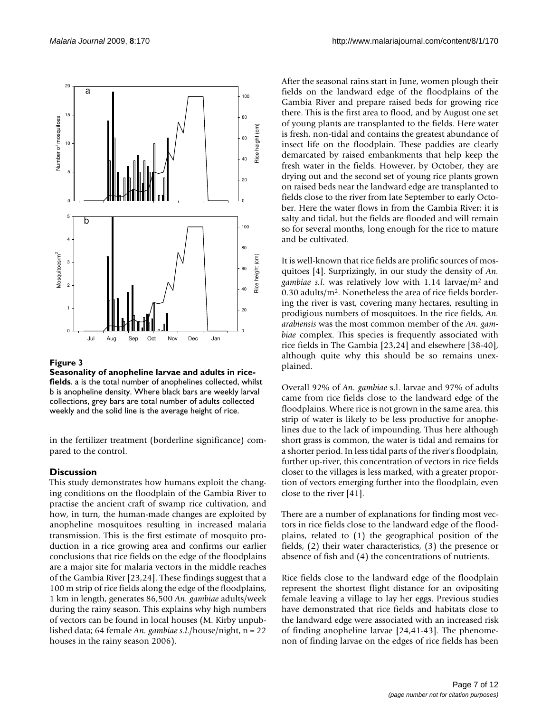

### **Figure 3**

**Seasonality of anopheline larvae and adults in ricefields**. a is the total number of anophelines collected, whilst b is anopheline density. Where black bars are weekly larval collections, grey bars are total number of adults collected

in the fertilizer treatment (borderline significance) compared to the control.

### **Discussion**

This study demonstrates how humans exploit the changing conditions on the floodplain of the Gambia River to practise the ancient craft of swamp rice cultivation, and how, in turn, the human-made changes are exploited by anopheline mosquitoes resulting in increased malaria transmission. This is the first estimate of mosquito production in a rice growing area and confirms our earlier conclusions that rice fields on the edge of the floodplains are a major site for malaria vectors in the middle reaches of the Gambia River [23,24]. These findings suggest that a 100 m strip of rice fields along the edge of the floodplains, 1 km in length, generates 86,500 *An. gambiae* adults/week during the rainy season. This explains why high numbers of vectors can be found in local houses (M. Kirby unpublished data; 64 female *An. gambiae s.l*./house/night, n = 22 houses in the rainy season 2006).

After the seasonal rains start in June, women plough their fields on the landward edge of the floodplains of the Gambia River and prepare raised beds for growing rice there. This is the first area to flood, and by August one set of young plants are transplanted to the fields. Here water is fresh, non-tidal and contains the greatest abundance of insect life on the floodplain. These paddies are clearly demarcated by raised embankments that help keep the fresh water in the fields. However, by October, they are drying out and the second set of young rice plants grown on raised beds near the landward edge are transplanted to fields close to the river from late September to early October. Here the water flows in from the Gambia River; it is salty and tidal, but the fields are flooded and will remain so for several months, long enough for the rice to mature and be cultivated.

It is well-known that rice fields are prolific sources of mosquitoes [4]. Surprizingly, in our study the density of *An. gambiae s.l*. was relatively low with 1.14 larvae/m2 and 0.30 adults/m2. Nonetheless the area of rice fields bordering the river is vast, covering many hectares, resulting in prodigious numbers of mosquitoes. In the rice fields, *An. arabiensis* was the most common member of the *An. gambiae* complex. This species is frequently associated with rice fields in The Gambia [23,24] and elsewhere [38-40], although quite why this should be so remains unexplained.

Overall 92% of *An. gambiae* s.l. larvae and 97% of adults came from rice fields close to the landward edge of the floodplains. Where rice is not grown in the same area, this strip of water is likely to be less productive for anophelines due to the lack of impounding. Thus here although short grass is common, the water is tidal and remains for a shorter period. In less tidal parts of the river's floodplain, further up-river, this concentration of vectors in rice fields closer to the villages is less marked, with a greater proportion of vectors emerging further into the floodplain, even close to the river [41].

There are a number of explanations for finding most vectors in rice fields close to the landward edge of the floodplains, related to (1) the geographical position of the fields, (2) their water characteristics, (3) the presence or absence of fish and (4) the concentrations of nutrients.

Rice fields close to the landward edge of the floodplain represent the shortest flight distance for an ovipositing female leaving a village to lay her eggs. Previous studies have demonstrated that rice fields and habitats close to the landward edge were associated with an increased risk of finding anopheline larvae [24,41-43]. The phenomenon of finding larvae on the edges of rice fields has been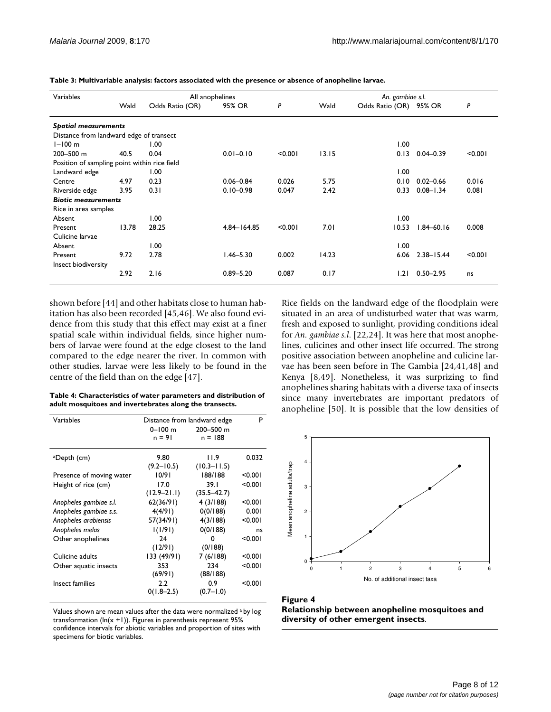| Variables                                    |       |                 | All anophelines |         |       | An. gambiae s.l. |                |         |
|----------------------------------------------|-------|-----------------|-----------------|---------|-------|------------------|----------------|---------|
|                                              | Wald  | Odds Ratio (OR) | 95% OR          | P       | Wald  | Odds Ratio (OR)  | 95% OR         | P       |
| <b>Spatial measurements</b>                  |       |                 |                 |         |       |                  |                |         |
| Distance from landward edge of transect      |       |                 |                 |         |       |                  |                |         |
| $1 - 100$ m                                  |       | 1.00            |                 |         |       | 1.00             |                |         |
| 200-500 m                                    | 40.5  | 0.04            | $0.01 - 0.10$   | < 0.001 | 13.15 | 0.13             | $0.04 - 0.39$  | < 0.001 |
| Position of sampling point within rice field |       |                 |                 |         |       |                  |                |         |
| Landward edge                                |       | 1.00            |                 |         |       | 1.00             |                |         |
| Centre                                       | 4.97  | 0.23            | $0.06 - 0.84$   | 0.026   | 5.75  | 0.10             | $0.02 - 0.66$  | 0.016   |
| Riverside edge                               | 3.95  | 0.31            | $0.10 - 0.98$   | 0.047   | 2.42  | 0.33             | $0.08 - 1.34$  | 0.081   |
| <b>Biotic measurements</b>                   |       |                 |                 |         |       |                  |                |         |
| Rice in area samples                         |       |                 |                 |         |       |                  |                |         |
| Absent                                       |       | 1.00            |                 |         |       | 1.00             |                |         |
| Present                                      | 13.78 | 28.25           | 4.84-164.85     | < 0.001 | 7.01  | 10.53            | $1.84 - 60.16$ | 0.008   |
| Culicine larvae                              |       |                 |                 |         |       |                  |                |         |
| Absent                                       |       | 1.00            |                 |         |       | 1.00             |                |         |
| Present                                      | 9.72  | 2.78            | $1.46 - 5.30$   | 0.002   | 14.23 | 6.06             | $2.38 - 15.44$ | < 0.001 |
| Insect biodiversity                          |       |                 |                 |         |       |                  |                |         |
|                                              | 2.92  | 2.16            | $0.89 - 5.20$   | 0.087   | 0.17  | 1.21             | $0.50 - 2.95$  | ns      |

**Table 3: Multivariable analysis: factors associated with the presence or absence of anopheline larvae.**

shown before [44] and other habitats close to human habitation has also been recorded [45,46]. We also found evidence from this study that this effect may exist at a finer spatial scale within individual fields, since higher numbers of larvae were found at the edge closest to the land compared to the edge nearer the river. In common with other studies, larvae were less likely to be found in the centre of the field than on the edge [47].

**Table 4: Characteristics of water parameters and distribution of adult mosquitoes and invertebrates along the transects.** 

| Variables                | Distance from landward edge |                      | P       |
|--------------------------|-----------------------------|----------------------|---------|
|                          | 0–100 m                     | $200 - 500$ m        |         |
|                          | n = 91                      | $n = 188$            |         |
| <sup>a</sup> Depth (cm)  | 9.80                        | 11.9                 | 0.032   |
|                          | $(9.2 - 10.5)$              | $(10.3 - 11.5)$      |         |
| Presence of moving water | 10/91                       | 188/188              | < 0.001 |
| Height of rice (cm)      | 17.0                        | 39.I                 | < 0.001 |
|                          | $(12.9 - 21.1)$             | $(35.5 - 42.7)$      |         |
| Anopheles gambiae s.l.   | 62(36/91)                   | 4(3/188)             | < 0.001 |
| Anopheles gambiae s.s.   | 4(4/91)                     | 0(0/188)             | 0.001   |
| Anopheles arabiensis     | 57(34/91)                   | 4(3/188)             | < 0.001 |
| Anopheles melas          | 1(1/91)                     | 0(0/188)             | ns      |
| Other anophelines        | 24                          | 0                    | < 0.001 |
|                          | (12/91)                     | (0/188)              |         |
| Culicine adults          | 133 (49/91)                 | 7 (6/188)            | < 0.001 |
| Other aquatic insects    | 353<br>(69/91)              | 234<br>(88/188)      | < 0.001 |
| Insect families          | 2.2<br>$0(1.8-2.5)$         | 0.9<br>$(0.7 - 1.0)$ | < 0.001 |

Values shown are mean values after the data were normalized a by log transformation ( $ln(x + 1)$ ). Figures in parenthesis represent 95% confidence intervals for abiotic variables and proportion of sites with specimens for biotic variables.

Rice fields on the landward edge of the floodplain were situated in an area of undisturbed water that was warm, fresh and exposed to sunlight, providing conditions ideal for *An. gambiae s.l*. [22,24]. It was here that most anophelines, culicines and other insect life occurred. The strong positive association between anopheline and culicine larvae has been seen before in The Gambia [24,41,48] and Kenya [8,49]. Nonetheless, it was surprizing to find anophelines sharing habitats with a diverse taxa of insects since many invertebrates are important predators of anopheline [50]. It is possible that the low densities of



Figure 4 **Relationship between anopheline mosquitoes and diversity of other emergent insects**.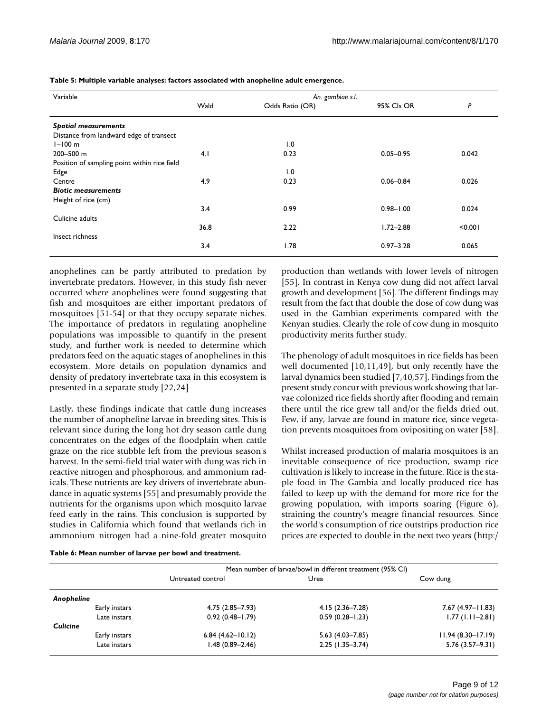| Variable                                     |      | An. gambiae s.l. |               |         |
|----------------------------------------------|------|------------------|---------------|---------|
|                                              | Wald | Odds Ratio (OR)  | 95% CIs OR    | P       |
| <b>Spatial measurements</b>                  |      |                  |               |         |
| Distance from landward edge of transect      |      |                  |               |         |
| $1 - 100$ m                                  |      | 1.0              |               |         |
| 200-500 m                                    | 4.1  | 0.23             | $0.05 - 0.95$ | 0.042   |
| Position of sampling point within rice field |      |                  |               |         |
| Edge                                         |      | 1.0              |               |         |
| Centre                                       | 4.9  | 0.23             | $0.06 - 0.84$ | 0.026   |
| <b>Biotic measurements</b>                   |      |                  |               |         |
| Height of rice (cm)                          |      |                  |               |         |
|                                              | 3.4  | 0.99             | $0.98 - 1.00$ | 0.024   |
| Culicine adults                              |      |                  |               |         |
|                                              | 36.8 | 2.22             | $1.72 - 2.88$ | < 0.001 |
| Insect richness                              |      |                  |               |         |
|                                              | 3.4  | 1.78             | $0.97 - 3.28$ | 0.065   |

**Table 5: Multiple variable analyses: factors associated with anopheline adult emergence.**

anophelines can be partly attributed to predation by invertebrate predators. However, in this study fish never occurred where anophelines were found suggesting that fish and mosquitoes are either important predators of mosquitoes [51-54] or that they occupy separate niches. The importance of predators in regulating anopheline populations was impossible to quantify in the present study, and further work is needed to determine which predators feed on the aquatic stages of anophelines in this ecosystem. More details on population dynamics and density of predatory invertebrate taxa in this ecosystem is presented in a separate study [22,24]

Lastly, these findings indicate that cattle dung increases the number of anopheline larvae in breeding sites. This is relevant since during the long hot dry season cattle dung concentrates on the edges of the floodplain when cattle graze on the rice stubble left from the previous season's harvest. In the semi-field trial water with dung was rich in reactive nitrogen and phosphorous, and ammonium radicals. These nutrients are key drivers of invertebrate abundance in aquatic systems [55] and presumably provide the nutrients for the organisms upon which mosquito larvae feed early in the rains. This conclusion is supported by studies in California which found that wetlands rich in ammonium nitrogen had a nine-fold greater mosquito production than wetlands with lower levels of nitrogen [55]. In contrast in Kenya cow dung did not affect larval growth and development [56]. The different findings may result from the fact that double the dose of cow dung was used in the Gambian experiments compared with the Kenyan studies. Clearly the role of cow dung in mosquito productivity merits further study.

The phenology of adult mosquitoes in rice fields has been well documented [[10,](#page-10-0)11,49], but only recently have the larval dynamics been studied [7,40,57]. Findings from the present study concur with previous work showing that larvae colonized rice fields shortly after flooding and remain there until the rice grew tall and/or the fields dried out. Few, if any, larvae are found in mature rice, since vegetation prevents mosquitoes from ovipositing on water [58].

Whilst increased production of malaria mosquitoes is an inevitable consequence of rice production, swamp rice cultivation is likely to increase in the future. Rice is the staple food in The Gambia and locally produced rice has failed to keep up with the demand for more rice for the growing population, with imports soaring (Figure 6), straining the country's meagre financial resources. Since the world's consumption of rice outstrips production rice prices are expected to double in the next two years [\(http:](http://www.warda.org)/

| Table 6: Mean number of larvae per bowl and treatment. |  |  |  |  |  |
|--------------------------------------------------------|--|--|--|--|--|
|--------------------------------------------------------|--|--|--|--|--|

|               | Mean number of larvae/bowl in different treatment (95% CI) |                     |                      |  |  |  |  |
|---------------|------------------------------------------------------------|---------------------|----------------------|--|--|--|--|
|               | Untreated control                                          | Urea                | Cow dung             |  |  |  |  |
| Anopheline    |                                                            |                     |                      |  |  |  |  |
| Early instars | 4.75 (2.85–7.93)                                           | $4.15(2.36 - 7.28)$ | 7.67 (4.97-11.83)    |  |  |  |  |
| Late instars  | $0.92(0.48 - 1.79)$                                        | $0.59(0.28 - 1.23)$ | $1.77 (1.11 - 2.81)$ |  |  |  |  |
| Culicine      |                                                            |                     |                      |  |  |  |  |
| Early instars | $6.84(4.62 - 10.12)$                                       | $5.63(4.03 - 7.85)$ | $11.94(8.30-17.19)$  |  |  |  |  |
| Late instars  | $1.48(0.89 - 2.46)$                                        | $2.25(1.35-3.74)$   | $5.76(3.57-9.31)$    |  |  |  |  |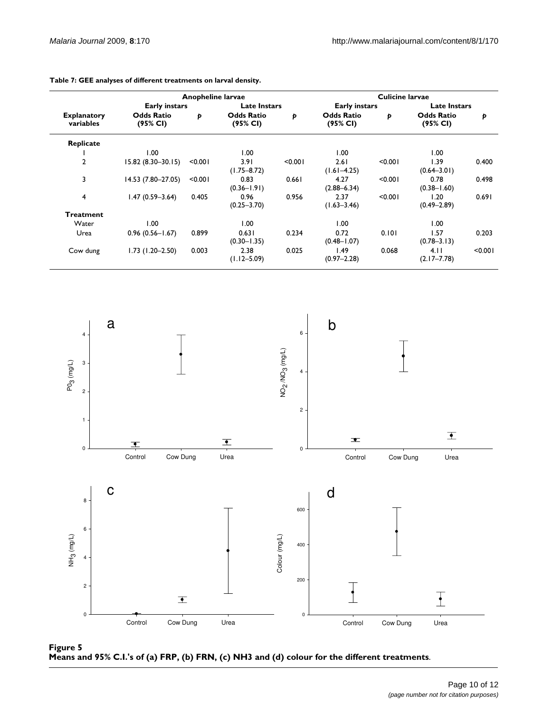|                                 |                               | Anopheline larvae |                               |         |                               |         | <b>Culicine larvae</b>        |         |  |  |  |
|---------------------------------|-------------------------------|-------------------|-------------------------------|---------|-------------------------------|---------|-------------------------------|---------|--|--|--|
|                                 | <b>Early instars</b>          |                   | <b>Late Instars</b>           |         | <b>Early instars</b>          |         | <b>Late Instars</b>           |         |  |  |  |
| <b>Explanatory</b><br>variables | <b>Odds Ratio</b><br>(95% CI) | Þ                 | <b>Odds Ratio</b><br>(95% CI) | Þ       | <b>Odds Ratio</b><br>(95% CI) | Þ       | <b>Odds Ratio</b><br>(95% CI) | Þ       |  |  |  |
| Replicate                       |                               |                   |                               |         |                               |         |                               |         |  |  |  |
|                                 | 00.1                          |                   | 1.00                          |         | 1.00                          |         | 0.01                          |         |  |  |  |
| $\overline{a}$                  | $15.82(8.30-30.15)$           | < 0.001           | 3.91<br>$(1.75 - 8.72)$       | < 0.001 | 2.61<br>$(1.61 - 4.25)$       | < 0.001 | 1.39<br>$(0.64 - 3.01)$       | 0.400   |  |  |  |
| 3                               | 14.53 (7.80-27.05)            | < 0.001           | 0.83<br>$(0.36 - 1.91)$       | 0.661   | 4.27<br>$(2.88 - 6.34)$       | < 0.001 | 0.78<br>$(0.38 - 1.60)$       | 0.498   |  |  |  |
| 4                               | $1.47(0.59 - 3.64)$           | 0.405             | 0.96<br>$(0.25 - 3.70)$       | 0.956   | 2.37<br>$(1.63 - 3.46)$       | < 0.001 | 1.20<br>$(0.49 - 2.89)$       | 0.691   |  |  |  |
| <b>Treatment</b>                |                               |                   |                               |         |                               |         |                               |         |  |  |  |
| Water                           | 1.00                          |                   | 1.00                          |         | 1.00                          |         | 1.00                          |         |  |  |  |
| Urea                            | $0.96(0.56 - 1.67)$           | 0.899             | 0.631<br>$(0.30 - 1.35)$      | 0.234   | 0.72<br>$(0.48 - 1.07)$       | 0.101   | 1.57<br>$(0.78 - 3.13)$       | 0.203   |  |  |  |
| Cow dung                        | $1.73$ (1.20-2.50)            | 0.003             | 2.38<br>$(1.12 - 5.09)$       | 0.025   | 1.49<br>$(0.97 - 2.28)$       | 0.068   | 4.11<br>$(2.17 - 7.78)$       | < 0.001 |  |  |  |

**Table 7: GEE analyses of different treatments on larval density.**



Figure 5 **Means and 95% C.I.'s of (a) FRP, (b) FRN, (c) NH3 and (d) colour for the different treatments**.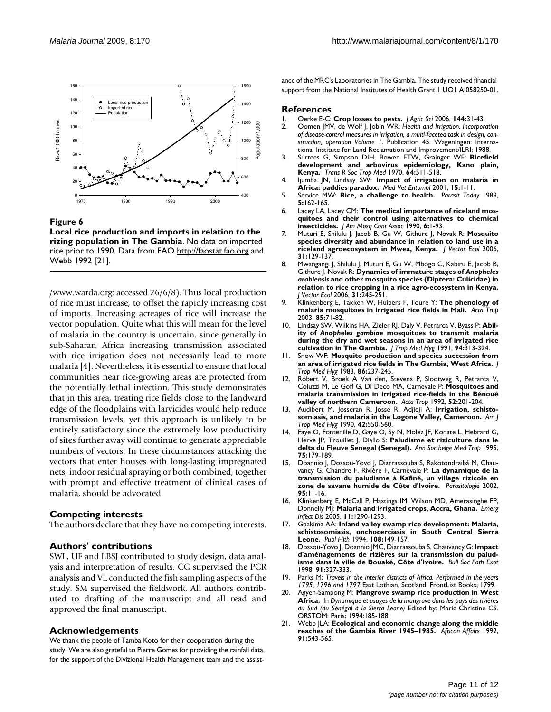

#### Figure 6

**Local rice production and imports in relation to the rizing population in The Gambia**. No data on imported rice prior to 1990. Data from FAO <http://faostat.fao.org> and Webb 1992 [21].

/www.warda.org: accessed 26/6/8). Thus local production of rice must increase, to offset the rapidly increasing cost of imports. Increasing acreages of rice will increase the vector population. Quite what this will mean for the level of malaria in the country is uncertain, since generally in sub-Saharan Africa increasing transmission associated with rice irrigation does not necessarily lead to more malaria [4]. Nevertheless, it is essential to ensure that local communities near rice-growing areas are protected from the potentially lethal infection. This study demonstrates that in this area, treating rice fields close to the landward edge of the floodplains with larvicides would help reduce transmission levels, yet this approach is unlikely to be entirely satisfactory since the extremely low productivity of sites further away will continue to generate appreciable numbers of vectors. In these circumstances attacking the vectors that enter houses with long-lasting impregnated nets, indoor residual spraying or both combined, together with prompt and effective treatment of clinical cases of malaria, should be advocated.

#### **Competing interests**

The authors declare that they have no competing interests.

#### **Authors' contributions**

SWL, UF and LBSJ contributed to study design, data analysis and interpretation of results. CG supervised the PCR analysis and VL conducted the fish sampling aspects of the study. SM supervised the fieldwork. All authors contributed to drafting of the manuscript and all read and approved the final manuscript.

#### **Acknowledgements**

We thank the people of Tamba Koto for their cooperation during the study. We are also grateful to Pierre Gomes for providing the rainfall data, for the support of the Divizional Health Management team and the assistance of the MRC's Laboratories in The Gambia. The study received financial support from the National Institutes of Health Grant 1 UO1 A1058250-01.

#### **References**

- 1. Oerke E-C: **Crop losses to pests.** *J Agric Sci* 2006, **144:**31-43.
- 2. Oomen JMV, de Wolf J, Jobin WR: *Health and Irrigation. Incorporation of disease-control measures in irrigation, a multi-faceted task in design, construction, operation Volume 1*. Publication 45. Wageningen: International Institute for Land Reclamation and Improvement/ILRI; 1988.
- 3. Surtees G, Simpson DIH, Bowen ETW, Grainger WE: **Ricefield development and arbovirus epidemiology, Kano plain, Kenya.** *Trans R Soc Trop Med* 1970, **64:**511-518.
- 4. Ijumba JN, Lindsay SW: **[Impact of irrigation on malaria in](http://www.ncbi.nlm.nih.gov/entrez/query.fcgi?cmd=Retrieve&db=PubMed&dopt=Abstract&list_uids=11297093) [Africa: paddies paradox.](http://www.ncbi.nlm.nih.gov/entrez/query.fcgi?cmd=Retrieve&db=PubMed&dopt=Abstract&list_uids=11297093)** *Med Vet Entomol* 2001, **15:**1-11.
- 5. Service MW: **Rice, a challenge to health.** *Parasit Today* 1989, **5:**162-165.
- 6. Lacey LA, Lacey CM: **The medical importance of riceland mosquitoes and their control using alternatives to chemical insecticides.** *J Am Mosq Cont Assoc* 1990, **6:**1-93.
- 7. Muturi E, Shilulu J, Jacob B, Gu W, Githure J, Novak R: **[Mosquito](http://www.ncbi.nlm.nih.gov/entrez/query.fcgi?cmd=Retrieve&db=PubMed&dopt=Abstract&list_uids=16859101) [species diversity and abundance in relation to land use in a](http://www.ncbi.nlm.nih.gov/entrez/query.fcgi?cmd=Retrieve&db=PubMed&dopt=Abstract&list_uids=16859101) [riceland agroecosystem in Mwea, Kenya.](http://www.ncbi.nlm.nih.gov/entrez/query.fcgi?cmd=Retrieve&db=PubMed&dopt=Abstract&list_uids=16859101)** *J Vector Ecol* 2006, **31:**129-137.
- 8. Mwangangi J, Shilulu J, Muturi E, Gu W, Mbogo C, Kabiru E, Jacob B, Githure J, Novak R: **Dynamics of immature stages of** *Anopheles arabiensis* **[and other mosquito species \(Diptera: Culicidae\) in](http://www.ncbi.nlm.nih.gov/entrez/query.fcgi?cmd=Retrieve&db=PubMed&dopt=Abstract&list_uids=17249341) [relation to rice cropping in a rice agro-ecosystem in Kenya.](http://www.ncbi.nlm.nih.gov/entrez/query.fcgi?cmd=Retrieve&db=PubMed&dopt=Abstract&list_uids=17249341)** *J Vector Ecol* 2006, **31:**245-251.
- 9. Klinkenberg E, Takken W, Huibers F, Toure Y: **[The phenology of](http://www.ncbi.nlm.nih.gov/entrez/query.fcgi?cmd=Retrieve&db=PubMed&dopt=Abstract&list_uids=12505185) [malaria mosquitoes in irrigated rice fields in Mali.](http://www.ncbi.nlm.nih.gov/entrez/query.fcgi?cmd=Retrieve&db=PubMed&dopt=Abstract&list_uids=12505185)** *Acta Trop* 2003, **85:**71-82.
- <span id="page-10-0"></span>10. Lindsay SW, Wilkins HA, Zieler RJ, Daly V, Petrarca V, Byass P: **Ability of** *Anopheles gambiae* **[mosquitoes to transmit malaria](http://www.ncbi.nlm.nih.gov/entrez/query.fcgi?cmd=Retrieve&db=PubMed&dopt=Abstract&list_uids=1942209) [during the dry and wet seasons in an area of irrigated rice](http://www.ncbi.nlm.nih.gov/entrez/query.fcgi?cmd=Retrieve&db=PubMed&dopt=Abstract&list_uids=1942209) [cultivation in The Gambia.](http://www.ncbi.nlm.nih.gov/entrez/query.fcgi?cmd=Retrieve&db=PubMed&dopt=Abstract&list_uids=1942209)** *J Trop Med Hyg* 1991, **94:**313-324.
- 11. Snow WF: **[Mosquito production and species succession from](http://www.ncbi.nlm.nih.gov/entrez/query.fcgi?cmd=Retrieve&db=PubMed&dopt=Abstract&list_uids=6142963) [an area of irrigated rice fields in The Gambia, West Africa.](http://www.ncbi.nlm.nih.gov/entrez/query.fcgi?cmd=Retrieve&db=PubMed&dopt=Abstract&list_uids=6142963)** *J Trop Med Hyg* 1983, **86:**237-245.
- 12. Robert V, Broek A Van den, Stevens P, Slootweg R, Petrarca V, Coluzzi M, Le Goff G, Di Deco MA, Carnevale P: **[Mosquitoes and](http://www.ncbi.nlm.nih.gov/entrez/query.fcgi?cmd=Retrieve&db=PubMed&dopt=Abstract&list_uids=1363184) [malaria transmission in irrigated rice-fields in the Bénoué](http://www.ncbi.nlm.nih.gov/entrez/query.fcgi?cmd=Retrieve&db=PubMed&dopt=Abstract&list_uids=1363184) [valley of northern Cameroon.](http://www.ncbi.nlm.nih.gov/entrez/query.fcgi?cmd=Retrieve&db=PubMed&dopt=Abstract&list_uids=1363184)** *Acta Trop* 1992, **52:**201-204.
- 13. Audibert M, Josseran R, Josse R, Adjidji A: **[Irrigation, schisto](http://www.ncbi.nlm.nih.gov/entrez/query.fcgi?cmd=Retrieve&db=PubMed&dopt=Abstract&list_uids=2115305)[somiasis, and malaria in the Logone Valley, Cameroon.](http://www.ncbi.nlm.nih.gov/entrez/query.fcgi?cmd=Retrieve&db=PubMed&dopt=Abstract&list_uids=2115305)** *Am J Trop Med Hyg* 1990, **42:**550-560.
- 14. Faye O, Fontenille D, Gaye O, Sy N, Molez JF, Konate L, Hebrard G, Herve JP, Trouillet J, Diallo S: **Paludisme et riziculture dans le delta du Fleuve Senegal (Senegal).** *Ann Soc belge Med Trop* 1995, **75:**179-189.
- 15. Doannio J, Dossou-Yovo J, Diarrassouba S, Rakotondraibá M, Chauvancy G, Chandre F, Rivière F, Carnevale P: **La dynamique de la transmission du paludisme à Kafiné, un village rizicole en zone de savane humide de Côte d'Ivoire.** *Parasitologie* 2002, **95:**11-16.
- 16. Klinkenberg E, McCall P, Hastings IM, Wilson MD, Amerasinghe FP, Donnelly MJ: **[Malaria and irrigated crops, Accra, Ghana.](http://www.ncbi.nlm.nih.gov/entrez/query.fcgi?cmd=Retrieve&db=PubMed&dopt=Abstract&list_uids=16102322)** *Emerg Infect Dis* 2005, **11:**1290-1293.
- 17. Gbakima AA: **Inland valley swamp rice development: Malaria, schistosomiasis, onchocerciasis in South Central Sierra Leone.** *Publ Hlth* 1994, **108:**149-157.
- 18. Dossou-Yovo J, Doannio JMC, Diarrassouba S, Chauvancy G: **Impact d'aménagements de rizières sur la transmission du paludisme dans la ville de Bouaké, Côte d'Ivoire.** *Bull Soc Path Exot* 1998, **91:**327-333.
- 19. Parks M: *Travels in the interior districts of Africa. Performed in the years 1795, 1796 and 1797* East Lothian, Scotland: FrontList Books; 1799.
- 20. Agyen-Sampong M: **Mangrove swamp rice production in West Africa.** In *Dynamique et usages de la mangrove dans les pays des rivières du Sud (du Sénégal à la Sierra Leone)* Edited by: Marie-Christine CS. ORSTOM: Paris; 1994:185-188.
- 21. Webb JLA: **Ecological and economic change along the middle reaches of the Gambia River 1945–1985.** *African Affairs* 1992, **91:**543-565.